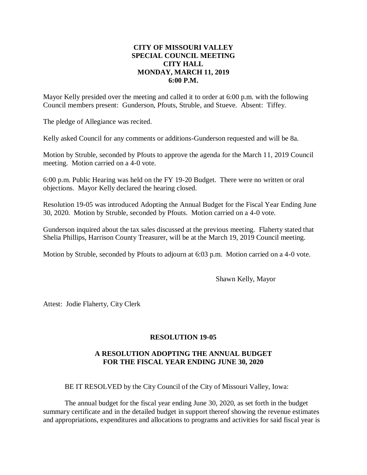## **CITY OF MISSOURI VALLEY SPECIAL COUNCIL MEETING CITY HALL MONDAY, MARCH 11, 2019 6:00 P.M.**

Mayor Kelly presided over the meeting and called it to order at 6:00 p.m. with the following Council members present: Gunderson, Pfouts, Struble, and Stueve. Absent: Tiffey.

The pledge of Allegiance was recited.

Kelly asked Council for any comments or additions-Gunderson requested and will be 8a.

Motion by Struble, seconded by Pfouts to approve the agenda for the March 11, 2019 Council meeting. Motion carried on a 4-0 vote.

6:00 p.m. Public Hearing was held on the FY 19-20 Budget. There were no written or oral objections. Mayor Kelly declared the hearing closed.

Resolution 19-05 was introduced Adopting the Annual Budget for the Fiscal Year Ending June 30, 2020. Motion by Struble, seconded by Pfouts. Motion carried on a 4-0 vote.

Gunderson inquired about the tax sales discussed at the previous meeting. Flaherty stated that Shelia Phillips, Harrison County Treasurer, will be at the March 19, 2019 Council meeting.

Motion by Struble, seconded by Pfouts to adjourn at 6:03 p.m. Motion carried on a 4-0 vote.

Shawn Kelly, Mayor

Attest: Jodie Flaherty, City Clerk

## **RESOLUTION 19-05**

## **A RESOLUTION ADOPTING THE ANNUAL BUDGET FOR THE FISCAL YEAR ENDING JUNE 30, 2020**

BE IT RESOLVED by the City Council of the City of Missouri Valley, Iowa:

The annual budget for the fiscal year ending June 30, 2020, as set forth in the budget summary certificate and in the detailed budget in support thereof showing the revenue estimates and appropriations, expenditures and allocations to programs and activities for said fiscal year is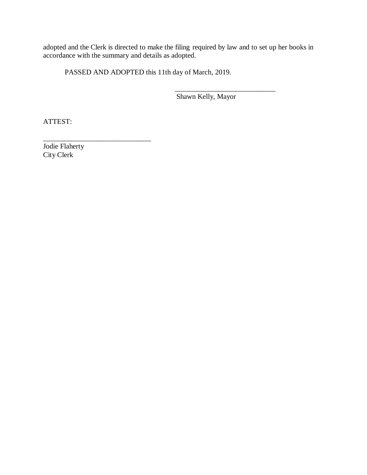adopted and the Clerk is directed to make the filing required by law and to set up her books in accordance with the summary and details as adopted.

PASSED AND ADOPTED this 11th day of March, 2019.

 $\frac{1}{\sqrt{2}}$  ,  $\frac{1}{\sqrt{2}}$  ,  $\frac{1}{\sqrt{2}}$  ,  $\frac{1}{\sqrt{2}}$  ,  $\frac{1}{\sqrt{2}}$  ,  $\frac{1}{\sqrt{2}}$  ,  $\frac{1}{\sqrt{2}}$  ,  $\frac{1}{\sqrt{2}}$  ,  $\frac{1}{\sqrt{2}}$  ,  $\frac{1}{\sqrt{2}}$  ,  $\frac{1}{\sqrt{2}}$  ,  $\frac{1}{\sqrt{2}}$  ,  $\frac{1}{\sqrt{2}}$  ,  $\frac{1}{\sqrt{2}}$  ,  $\frac{1}{\sqrt{2}}$ Shawn Kelly, Mayor

ATTEST:

Jodie Flaherty City Clerk

\_\_\_\_\_\_\_\_\_\_\_\_\_\_\_\_\_\_\_\_\_\_\_\_\_\_\_\_\_\_